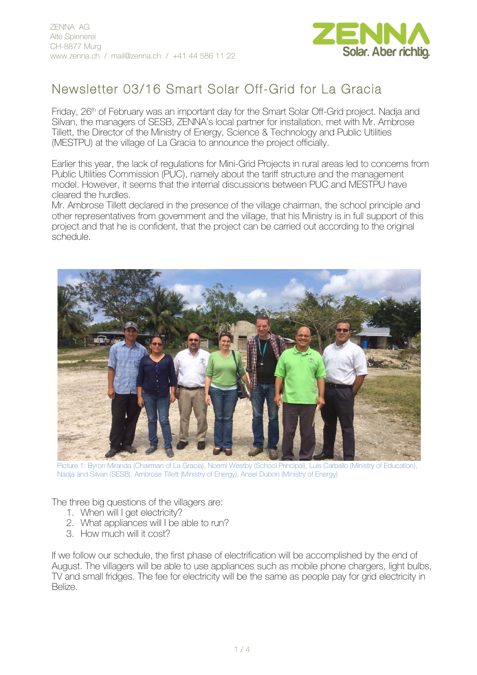

## Newsletter 03/16 Smart Solar Off-Grid for La Gracia

Friday, 26<sup>th</sup> of February was an important day for the Smart Solar Off-Grid project. Nadja and Silvan, the managers of SESB, ZENNA's local partner for installation, met with Mr. Ambrose Tillett, the Director of the Ministry of Energy, Science & Technology and Public Utilities (MESTPU) at the village of La Gracia to announce the project officially.

Earlier this year, the lack of regulations for Mini-Grid Projects in rural areas led to concerns from Public Utilities Commission (PUC), namely about the tariff structure and the management model. However, it seems that the internal discussions between PUC and MESTPU have cleared the hurdles.

Mr. Ambrose Tillett declared in the presence of the village chairman, the school principle and other representatives from government and the village, that his Ministry is in full support of this project and that he is confident, that the project can be carried out according to the original schedule.



Picture 1: Byron Miranda (Chairman of La Gracia), Noemi Westby (School Principal), Luis Carballo (Ministry of Education), Nadja and Silvan (SESB), Ambrose Tillett (Ministry of Energy), Ansel Dubon (Ministry of Energy)

The three big questions of the villagers are:

- 1. When will I get electricity?
- 2. What appliances will I be able to run?
- 3. How much will it cost?

If we follow our schedule, the first phase of electrification will be accomplished by the end of August. The villagers will be able to use appliances such as mobile phone chargers, light bulbs, TV and small fridges. The fee for electricity will be the same as people pay for grid electricity in Belize.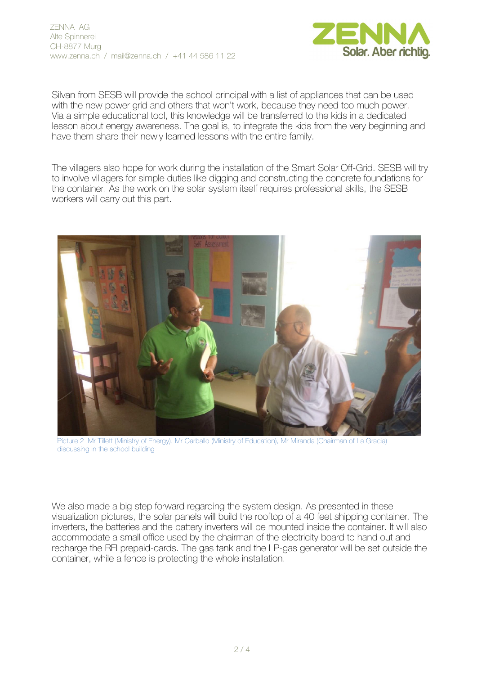

Silvan from SESB will provide the school principal with a list of appliances that can be used with the new power grid and others that won't work, because they need too much power. Via a simple educational tool, this knowledge will be transferred to the kids in a dedicated lesson about energy awareness. The goal is, to integrate the kids from the very beginning and have them share their newly learned lessons with the entire family.

The villagers also hope for work during the installation of the Smart Solar Off-Grid. SESB will try to involve villagers for simple duties like digging and constructing the concrete foundations for the container. As the work on the solar system itself requires professional skills, the SESB workers will carry out this part.



Picture 2 Mr Tillett (Ministry of Energy), Mr Carballo (Ministry of Education), Mr Miranda (Chairman of La Gracia) discussing in the school building

We also made a big step forward regarding the system design. As presented in these visualization pictures, the solar panels will build the rooftop of a 40 feet shipping container. The inverters, the batteries and the battery inverters will be mounted inside the container. It will also accommodate a small office used by the chairman of the electricity board to hand out and recharge the RFI prepaid-cards. The gas tank and the LP-gas generator will be set outside the container, while a fence is protecting the whole installation.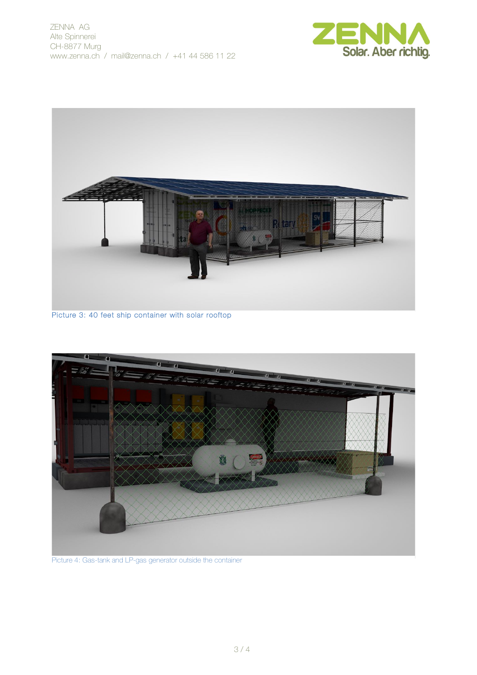



Picture 3: 40 feet ship container with solar rooftop



Picture 4: Gas-tank and LP-gas generator outside the container